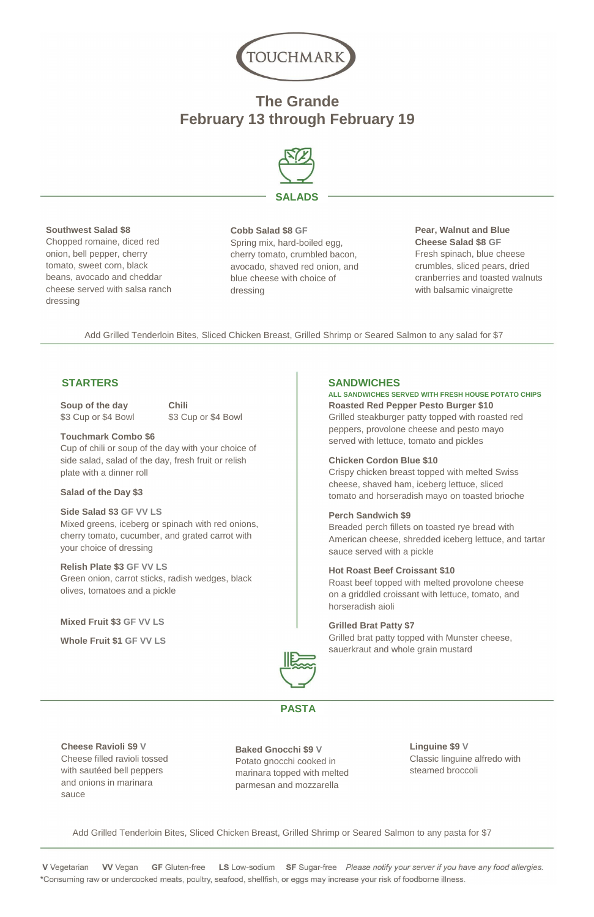

# **The Grande February 13 through February 19**



#### **Southwest Salad \$8**

Chopped romaine, diced red onion, bell pepper, cherry tomato, sweet corn, black beans, avocado and cheddar cheese served with salsa ranch dressing

#### **Cobb Salad \$8 GF**

Spring mix, hard-boiled egg, cherry tomato, crumbled bacon, avocado, shaved red onion, and blue cheese with choice of dressing

**Soup of the day Chili** \$3 Cup or \$4 Bowl \$3 Cup or \$4 Bowl

### **Pear, Walnut and Blue Cheese Salad \$8 GF**  Fresh spinach, blue cheese crumbles, sliced pears, dried cranberries and toasted walnuts with balsamic vinaigrette

Add Grilled Tenderloin Bites, Sliced Chicken Breast, Grilled Shrimp or Seared Salmon to any salad for \$7

## **STARTERS SANDWICHES**

#### **Touchmark Combo \$6**

Cup of chili or soup of the day with your choice of side salad, salad of the day, fresh fruit or relish plate with a dinner roll

#### **Salad of the Day \$3**

**ALL SANDWICHES SERVED WITH FRESH HOUSE POTATO CHIPS Roasted Red Pepper Pesto Burger \$10** Grilled steakburger patty topped with roasted red

**Side Salad \$3 GF VV LS** Mixed greens, iceberg or spinach with red onions, cherry tomato, cucumber, and grated carrot with your choice of dressing

**Relish Plate \$3 GF VV LS** Green onion, carrot sticks, radish wedges, black olives, tomatoes and a pickle

**Mixed Fruit \$3 GF VV LS** 

**Whole Fruit \$1 GF VV LS**

peppers, provolone cheese and pesto mayo served with lettuce, tomato and pickles

### **Chicken Cordon Blue \$10**

Crispy chicken breast topped with melted Swiss cheese, shaved ham, iceberg lettuce, sliced tomato and horseradish mayo on toasted brioche

#### **Perch Sandwich \$9**

Breaded perch fillets on toasted rye bread with American cheese, shredded iceberg lettuce, and tartar sauce served with a pickle

#### **Hot Roast Beef Croissant \$10**

Roast beef topped with melted provolone cheese on a griddled croissant with lettuce, tomato, and horseradish aioli

### **Grilled Brat Patty \$7**

Grilled brat patty topped with Munster cheese, sauerkraut and whole grain mustard





**Cheese Ravioli \$9 V**  Cheese filled ravioli tossed with sautéed bell peppers and onions in marinara sauce

#### **Baked Gnocchi \$9 V**

Potato gnocchi cooked in marinara topped with melted parmesan and mozzarella

**Linguine \$9 V** Classic linguine alfredo with steamed broccoli

Add Grilled Tenderloin Bites, Sliced Chicken Breast, Grilled Shrimp or Seared Salmon to any pasta for \$7

**VV** Vegan **GF** Gluten-free LS Low-sodium SF Sugar-free Please notify your server if you have any food allergies. **V** Vegetarian \*Consuming raw or undercooked meats, poultry, seafood, shellfish, or eggs may increase your risk of foodborne illness.